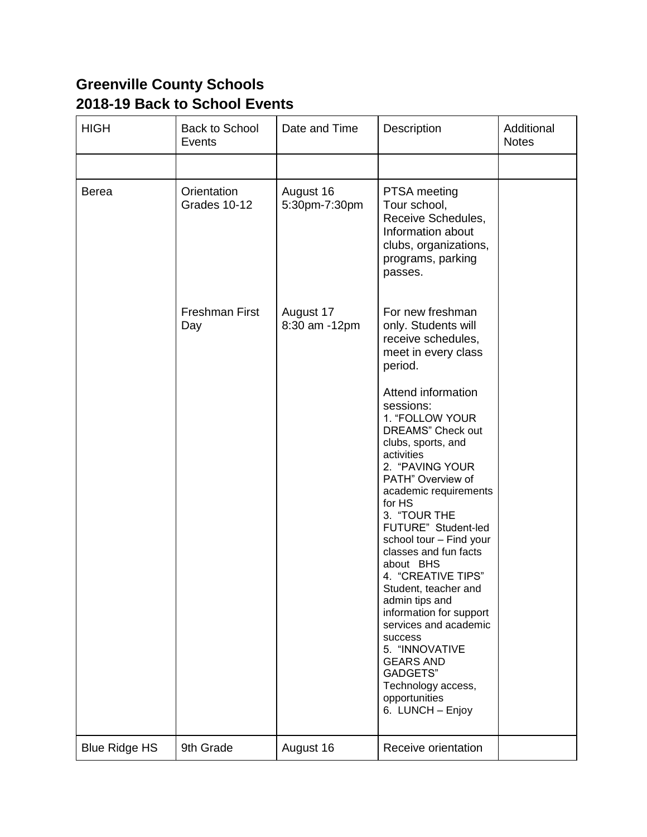## **Greenville County Schools 2018-19 Back to School Events**

| <b>HIGH</b>          | Back to School<br>Events     | Date and Time              | Description                                                                                                                                                                                                                                                                                                                                                                                                                                                                                                                                              | Additional<br><b>Notes</b> |
|----------------------|------------------------------|----------------------------|----------------------------------------------------------------------------------------------------------------------------------------------------------------------------------------------------------------------------------------------------------------------------------------------------------------------------------------------------------------------------------------------------------------------------------------------------------------------------------------------------------------------------------------------------------|----------------------------|
|                      |                              |                            |                                                                                                                                                                                                                                                                                                                                                                                                                                                                                                                                                          |                            |
| <b>Berea</b>         | Orientation<br>Grades 10-12  | August 16<br>5:30pm-7:30pm | PTSA meeting<br>Tour school,<br>Receive Schedules,<br>Information about<br>clubs, organizations,<br>programs, parking<br>passes.                                                                                                                                                                                                                                                                                                                                                                                                                         |                            |
|                      | <b>Freshman First</b><br>Day | August 17<br>8:30 am -12pm | For new freshman<br>only. Students will<br>receive schedules,<br>meet in every class<br>period.                                                                                                                                                                                                                                                                                                                                                                                                                                                          |                            |
|                      |                              |                            | Attend information<br>sessions:<br>1. "FOLLOW YOUR<br><b>DREAMS"</b> Check out<br>clubs, sports, and<br>activities<br>2. "PAVING YOUR<br>PATH" Overview of<br>academic requirements<br>for HS<br>3. "TOUR THE<br>FUTURE" Student-led<br>school tour - Find your<br>classes and fun facts<br>about BHS<br>4. "CREATIVE TIPS"<br>Student, teacher and<br>admin tips and<br>information for support<br>services and academic<br>success<br>5. "INNOVATIVE<br><b>GEARS AND</b><br><b>GADGETS"</b><br>Technology access,<br>opportunities<br>6. LUNCH - Enjoy |                            |
| <b>Blue Ridge HS</b> | 9th Grade                    | August 16                  | Receive orientation                                                                                                                                                                                                                                                                                                                                                                                                                                                                                                                                      |                            |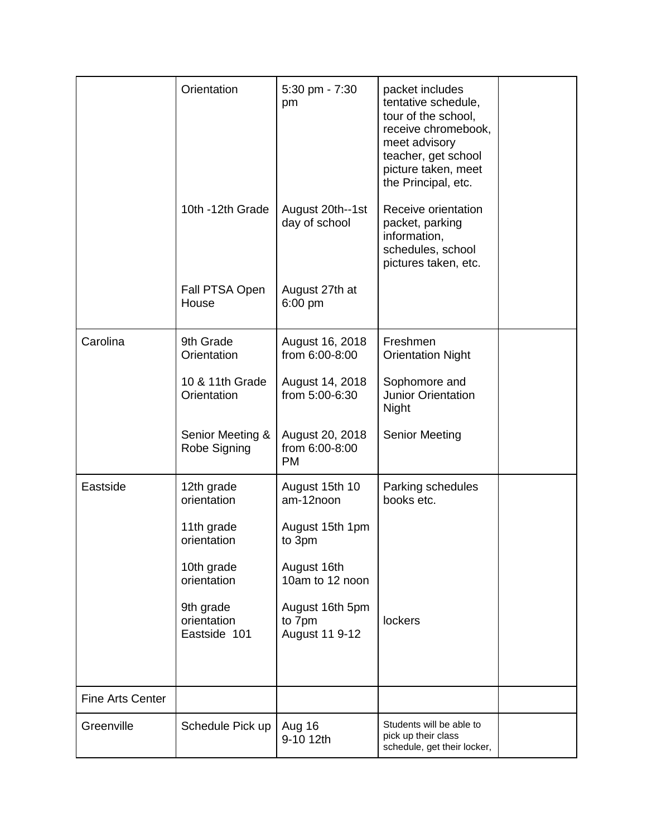|                         | Orientation                              | 5:30 pm - 7:30<br>pm                           | packet includes<br>tentative schedule,<br>tour of the school,<br>receive chromebook,<br>meet advisory<br>teacher, get school<br>picture taken, meet<br>the Principal, etc. |  |
|-------------------------|------------------------------------------|------------------------------------------------|----------------------------------------------------------------------------------------------------------------------------------------------------------------------------|--|
|                         | 10th -12th Grade                         | August 20th--1st<br>day of school              | Receive orientation<br>packet, parking<br>information,<br>schedules, school<br>pictures taken, etc.                                                                        |  |
|                         | Fall PTSA Open<br>House                  | August 27th at<br>$6:00$ pm                    |                                                                                                                                                                            |  |
| Carolina                | 9th Grade<br>Orientation                 | August 16, 2018<br>from 6:00-8:00              | Freshmen<br><b>Orientation Night</b>                                                                                                                                       |  |
|                         | 10 & 11th Grade<br>Orientation           | August 14, 2018<br>from 5:00-6:30              | Sophomore and<br><b>Junior Orientation</b><br>Night                                                                                                                        |  |
|                         | Senior Meeting &<br>Robe Signing         | August 20, 2018<br>from 6:00-8:00<br><b>PM</b> | <b>Senior Meeting</b>                                                                                                                                                      |  |
| Eastside                | 12th grade<br>orientation                | August 15th 10<br>am-12noon                    | Parking schedules<br>books etc.                                                                                                                                            |  |
|                         | 11th grade<br>orientation                | August 15th 1pm<br>to 3pm                      |                                                                                                                                                                            |  |
|                         | 10th grade<br>orientation                | August 16th<br>10am to 12 noon                 |                                                                                                                                                                            |  |
|                         | 9th grade<br>orientation<br>Eastside 101 | August 16th 5pm<br>to 7pm<br>August 11 9-12    | lockers                                                                                                                                                                    |  |
| <b>Fine Arts Center</b> |                                          |                                                |                                                                                                                                                                            |  |
| Greenville              | Schedule Pick up                         | Aug 16<br>9-10 12th                            | Students will be able to<br>pick up their class<br>schedule, get their locker,                                                                                             |  |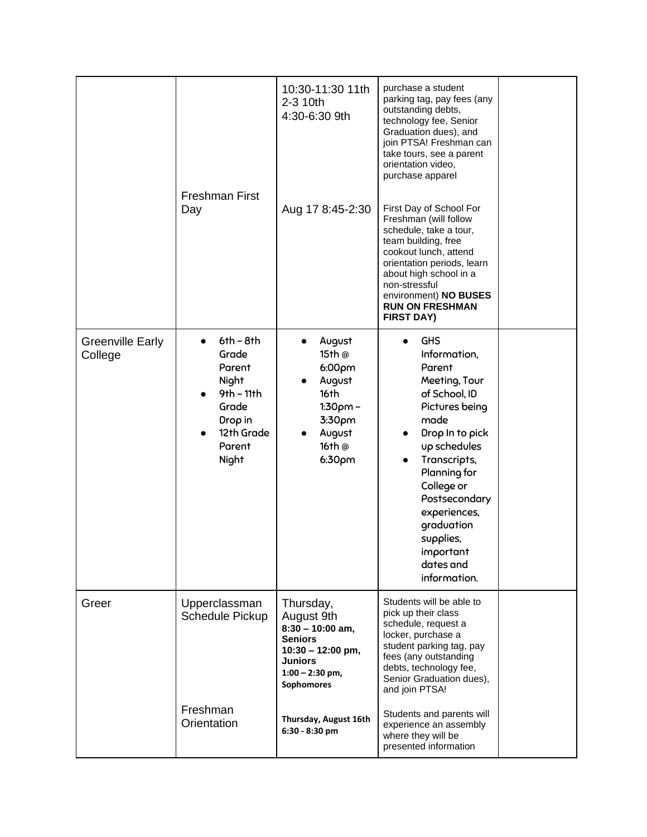|                                    | <b>Freshman First</b><br>Day                                                                                 | 10:30-11:30 11th<br>2-3 10th<br>4:30-6:30 9th<br>Aug 17 8:45-2:30                                                                                  | purchase a student<br>parking tag, pay fees (any<br>outstanding debts,<br>technology fee, Senior<br>Graduation dues), and<br>join PTSA! Freshman can<br>take tours, see a parent<br>orientation video,<br>purchase apparel<br>First Day of School For<br>Freshman (will follow<br>schedule, take a tour,<br>team building, free<br>cookout lunch, attend<br>orientation periods, learn<br>about high school in a<br>non-stressful<br>environment) NO BUSES<br><b>RUN ON FRESHMAN</b><br><b>FIRST DAY)</b> |  |
|------------------------------------|--------------------------------------------------------------------------------------------------------------|----------------------------------------------------------------------------------------------------------------------------------------------------|-----------------------------------------------------------------------------------------------------------------------------------------------------------------------------------------------------------------------------------------------------------------------------------------------------------------------------------------------------------------------------------------------------------------------------------------------------------------------------------------------------------|--|
| <b>Greenville Early</b><br>College | $6th - 8th$<br>Grade<br>Parent<br>Night<br>$9th - 11th$<br>Grade<br>Drop in<br>12th Grade<br>Parent<br>Night | August<br>15th @<br>6:00 <sub>pm</sub><br>August<br>16th<br>$1:30pm -$<br>3:30pm<br>August<br>16th @<br>6:30 <sub>pm</sub>                         | <b>GHS</b><br>Information,<br>Parent<br>Meeting, Tour<br>of School, ID<br>Pictures being<br>made<br>Drop In to pick<br>up schedules<br>Transcripts,<br>Planning for<br>College or<br>Postsecondary<br>experiences,<br>graduation<br>supplies,<br>important<br>dates and<br>information.                                                                                                                                                                                                                   |  |
| Greer                              | Upperclassman<br><b>Schedule Pickup</b>                                                                      | Thursday,<br>August 9th<br>$8:30 - 10:00$ am,<br><b>Seniors</b><br>$10:30 - 12:00$ pm,<br><b>Juniors</b><br>$1:00 - 2:30$ pm,<br><b>Sophomores</b> | Students will be able to<br>pick up their class<br>schedule, request a<br>locker, purchase a<br>student parking tag, pay<br>fees (any outstanding<br>debts, technology fee,<br>Senior Graduation dues),<br>and join PTSA!                                                                                                                                                                                                                                                                                 |  |
|                                    | Freshman<br>Orientation                                                                                      | Thursday, August 16th<br>6:30 - 8:30 pm                                                                                                            | Students and parents will<br>experience an assembly<br>where they will be<br>presented information                                                                                                                                                                                                                                                                                                                                                                                                        |  |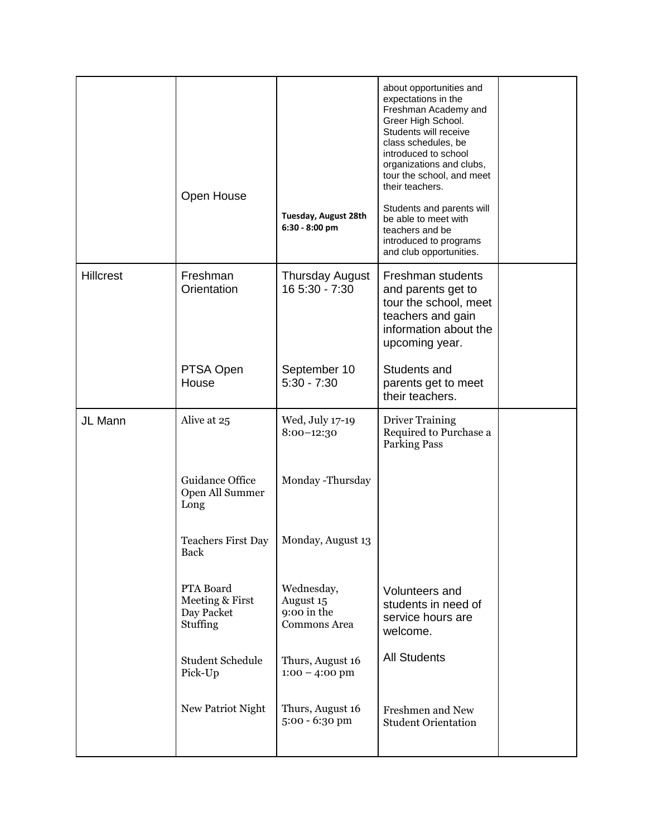|                  | Open House                                             | Tuesday, August 28th<br>$6:30 - 8:00$ pm                      | about opportunities and<br>expectations in the<br>Freshman Academy and<br>Greer High School.<br>Students will receive<br>class schedules, be<br>introduced to school<br>organizations and clubs,<br>tour the school, and meet<br>their teachers.<br>Students and parents will<br>be able to meet with<br>teachers and be<br>introduced to programs<br>and club opportunities. |  |
|------------------|--------------------------------------------------------|---------------------------------------------------------------|-------------------------------------------------------------------------------------------------------------------------------------------------------------------------------------------------------------------------------------------------------------------------------------------------------------------------------------------------------------------------------|--|
| <b>Hillcrest</b> | Freshman<br>Orientation                                | <b>Thursday August</b><br>16 5:30 - 7:30                      | Freshman students<br>and parents get to<br>tour the school, meet<br>teachers and gain<br>information about the<br>upcoming year.                                                                                                                                                                                                                                              |  |
|                  | PTSA Open<br>House                                     | September 10<br>$5:30 - 7:30$                                 | Students and<br>parents get to meet<br>their teachers.                                                                                                                                                                                                                                                                                                                        |  |
| JL Mann          | Alive at 25                                            | Wed, July 17-19<br>$8:00-12:30$                               | <b>Driver Training</b><br>Required to Purchase a<br><b>Parking Pass</b>                                                                                                                                                                                                                                                                                                       |  |
|                  | Guidance Office<br>Open All Summer<br>Long             | Monday -Thursday                                              |                                                                                                                                                                                                                                                                                                                                                                               |  |
|                  | <b>Teachers First Day</b><br><b>Back</b>               | Monday, August 13                                             |                                                                                                                                                                                                                                                                                                                                                                               |  |
|                  | PTA Board<br>Meeting & First<br>Day Packet<br>Stuffing | Wednesday,<br>August 15<br>9:00 in the<br><b>Commons Area</b> | Volunteers and<br>students in need of<br>service hours are<br>welcome.                                                                                                                                                                                                                                                                                                        |  |
|                  | <b>Student Schedule</b><br>Pick-Up                     | Thurs, August 16<br>$1:00 - 4:00$ pm                          | <b>All Students</b>                                                                                                                                                                                                                                                                                                                                                           |  |
|                  | New Patriot Night                                      | Thurs, August 16<br>5:00 - 6:30 pm                            | Freshmen and New<br><b>Student Orientation</b>                                                                                                                                                                                                                                                                                                                                |  |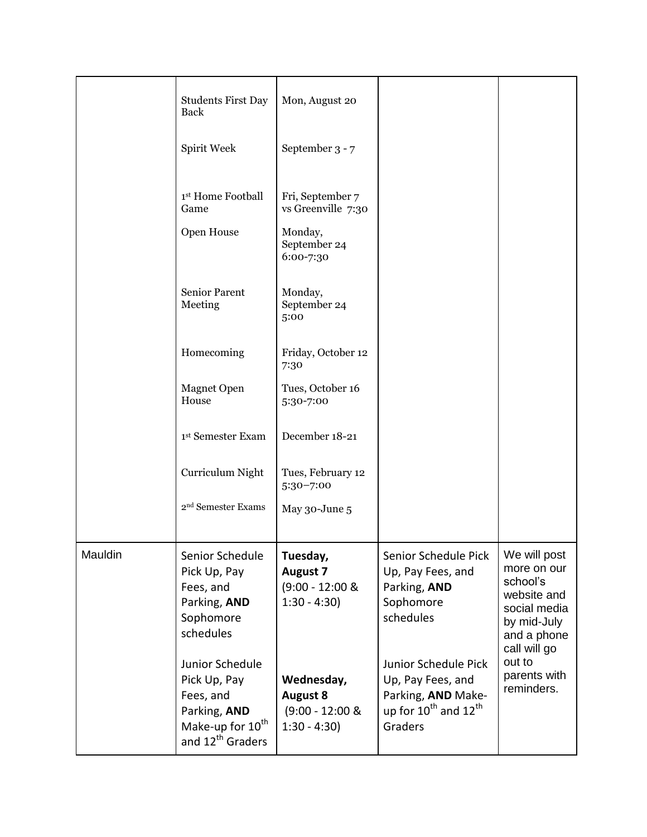|         | <b>Students First Day</b><br>Back                                                                                            | Mon, August 20                                                       |                                                                                                                            |                                                                                                                      |
|---------|------------------------------------------------------------------------------------------------------------------------------|----------------------------------------------------------------------|----------------------------------------------------------------------------------------------------------------------------|----------------------------------------------------------------------------------------------------------------------|
|         | Spirit Week                                                                                                                  | September 3 - 7                                                      |                                                                                                                            |                                                                                                                      |
|         | 1st Home Football<br>Game                                                                                                    | Fri, September 7<br>vs Greenville 7:30                               |                                                                                                                            |                                                                                                                      |
|         | Open House                                                                                                                   | Monday,<br>September 24<br>6:00-7:30                                 |                                                                                                                            |                                                                                                                      |
|         | Senior Parent<br>Meeting                                                                                                     | Monday,<br>September 24<br>5:00                                      |                                                                                                                            |                                                                                                                      |
|         | Homecoming                                                                                                                   | Friday, October 12<br>7:30                                           |                                                                                                                            |                                                                                                                      |
|         | <b>Magnet Open</b><br>House                                                                                                  | Tues, October 16<br>5:30-7:00                                        |                                                                                                                            |                                                                                                                      |
|         | 1st Semester Exam                                                                                                            | December 18-21                                                       |                                                                                                                            |                                                                                                                      |
|         | Curriculum Night                                                                                                             | Tues, February 12<br>5:30-7:00                                       |                                                                                                                            |                                                                                                                      |
|         | 2 <sup>nd</sup> Semester Exams                                                                                               | May 30-June 5                                                        |                                                                                                                            |                                                                                                                      |
| Mauldin | Senior Schedule<br>Pick Up, Pay<br>Fees, and<br>Parking, AND<br>Sophomore<br>schedules                                       | Tuesday,<br><b>August 7</b><br>$(9:00 - 12:00 \&$<br>$1:30 - 4:30$   | Senior Schedule Pick<br>Up, Pay Fees, and<br>Parking, AND<br>Sophomore<br>schedules                                        | We will post<br>more on our<br>school's<br>website and<br>social media<br>by mid-July<br>and a phone<br>call will go |
|         | Junior Schedule<br>Pick Up, Pay<br>Fees, and<br>Parking, AND<br>Make-up for 10 <sup>th</sup><br>and 12 <sup>th</sup> Graders | Wednesday,<br><b>August 8</b><br>$(9:00 - 12:00 \&$<br>$1:30 - 4:30$ | Junior Schedule Pick<br>Up, Pay Fees, and<br>Parking, AND Make-<br>up for $10^{\text{th}}$ and $12^{\text{th}}$<br>Graders | out to<br>parents with<br>reminders.                                                                                 |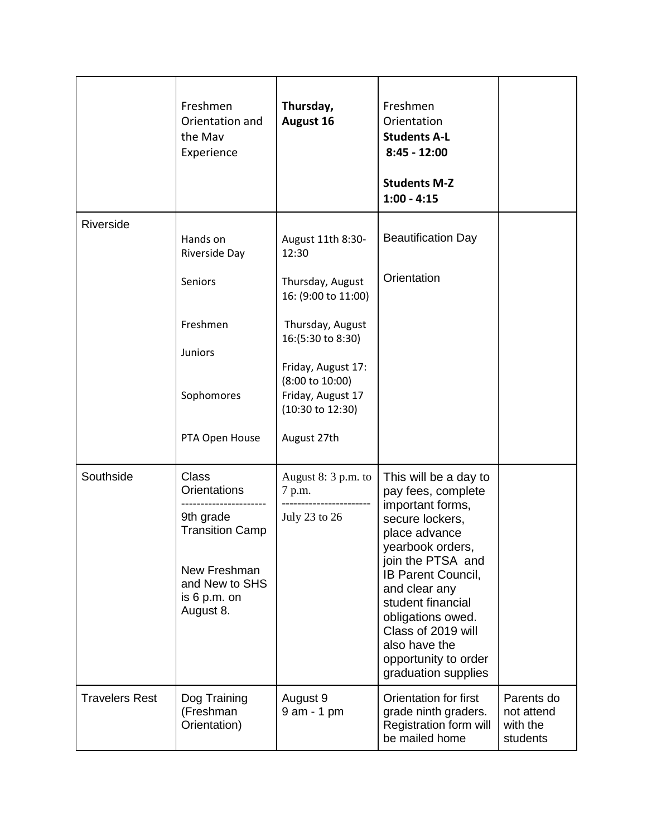|                       | Freshmen<br>Orientation and<br>the Mav<br>Experience                                                                                        | Thursday,<br>August 16                                                                                                                                                                                                     | Freshmen<br>Orientation<br><b>Students A-L</b><br>$8:45 - 12:00$<br><b>Students M-Z</b><br>$1:00 - 4:15$                                                                                                                                                                                                                   |                                                  |
|-----------------------|---------------------------------------------------------------------------------------------------------------------------------------------|----------------------------------------------------------------------------------------------------------------------------------------------------------------------------------------------------------------------------|----------------------------------------------------------------------------------------------------------------------------------------------------------------------------------------------------------------------------------------------------------------------------------------------------------------------------|--------------------------------------------------|
| Riverside             | Hands on<br>Riverside Day<br>Seniors<br>Freshmen<br><b>Juniors</b><br>Sophomores<br>PTA Open House                                          | August 11th 8:30-<br>12:30<br>Thursday, August<br>16: (9:00 to 11:00)<br>Thursday, August<br>16:(5:30 to 8:30)<br>Friday, August 17:<br>(8:00 to 10:00)<br>Friday, August 17<br>$(10:30 \text{ to } 12:30)$<br>August 27th | <b>Beautification Day</b><br>Orientation                                                                                                                                                                                                                                                                                   |                                                  |
| Southside             | <b>Class</b><br><b>Orientations</b><br>9th grade<br><b>Transition Camp</b><br>New Freshman<br>and New to SHS<br>is $6 p.m.$ on<br>August 8. | August $8:3$ p.m. to<br>7 p.m.<br>July 23 to 26                                                                                                                                                                            | This will be a day to<br>pay fees, complete<br>important forms,<br>secure lockers,<br>place advance<br>yearbook orders,<br>join the PTSA and<br><b>IB Parent Council,</b><br>and clear any<br>student financial<br>obligations owed.<br>Class of 2019 will<br>also have the<br>opportunity to order<br>graduation supplies |                                                  |
| <b>Travelers Rest</b> | Dog Training<br>(Freshman<br>Orientation)                                                                                                   | August 9<br>9 am - 1 pm                                                                                                                                                                                                    | Orientation for first<br>grade ninth graders.<br>Registration form will<br>be mailed home                                                                                                                                                                                                                                  | Parents do<br>not attend<br>with the<br>students |